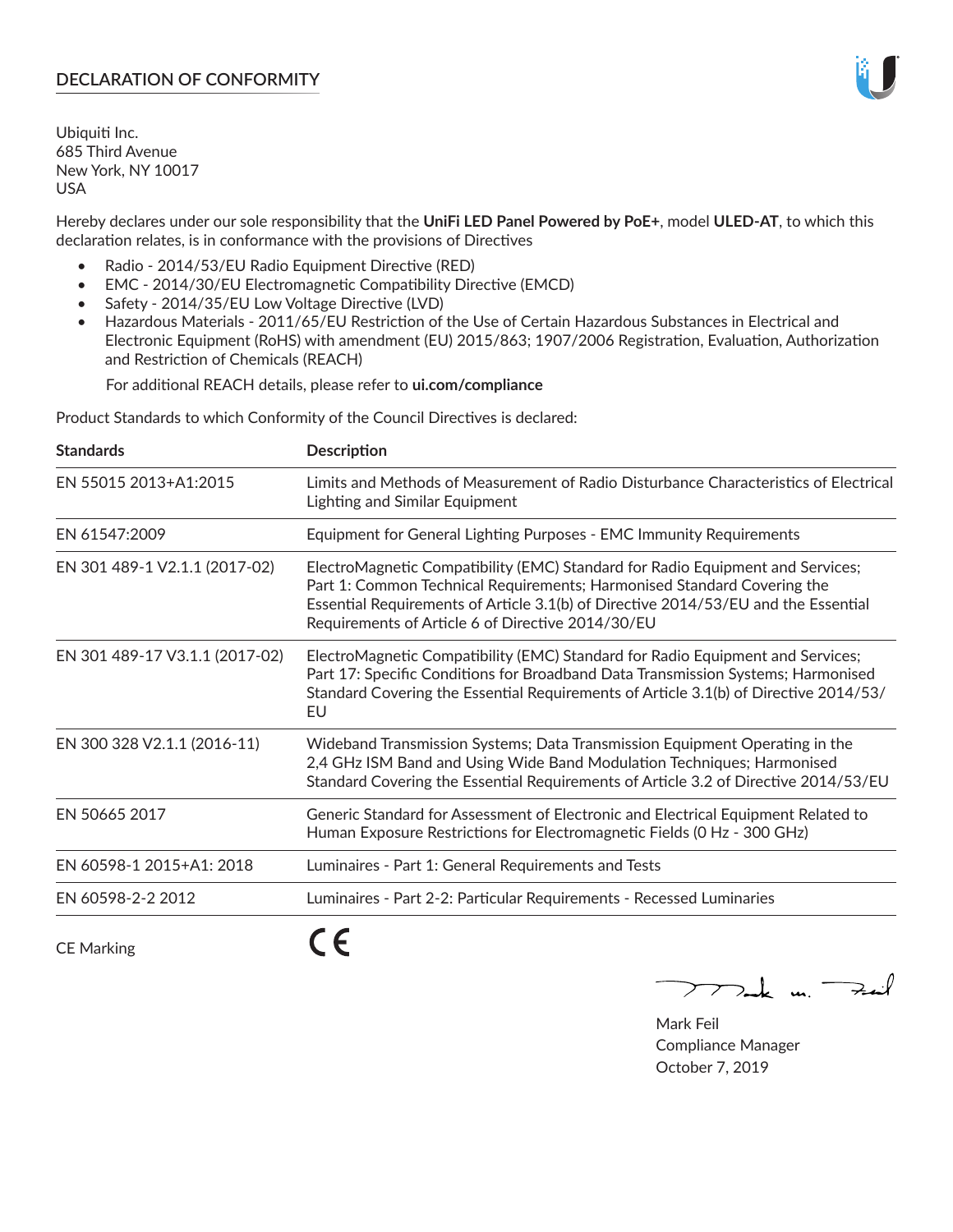# **DECLARATION OF CONFORMITY**

Ubiquiti Inc. 685 Third Avenue New York, NY 10017 USA

Hereby declares under our sole responsibility that the **UniFi LED Panel Powered by PoE+**, model **ULED-AT**, to which this declaration relates, is in conformance with the provisions of Directives

- Radio 2014/53/EU Radio Equipment Directive (RED)
- EMC 2014/30/EU Electromagnetic Compatibility Directive (EMCD)
- Safety 2014/35/EU Low Voltage Directive (LVD)
- Hazardous Materials 2011/65/EU Restriction of the Use of Certain Hazardous Substances in Electrical and Electronic Equipment (RoHS) with amendment (EU) 2015/863; 1907/2006 Registration, Evaluation, Authorization and Restriction of Chemicals (REACH)

For additional REACH details, please refer to **ui.com/compliance**

Product Standards to which Conformity of the Council Directives is declared:

| <b>Standards</b>               | <b>Description</b>                                                                                                                                                                                                                                                                                   |
|--------------------------------|------------------------------------------------------------------------------------------------------------------------------------------------------------------------------------------------------------------------------------------------------------------------------------------------------|
| EN 55015 2013+A1:2015          | Limits and Methods of Measurement of Radio Disturbance Characteristics of Electrical<br>Lighting and Similar Equipment                                                                                                                                                                               |
| EN 61547:2009                  | Equipment for General Lighting Purposes - EMC Immunity Requirements                                                                                                                                                                                                                                  |
| EN 301 489-1 V2.1.1 (2017-02)  | ElectroMagnetic Compatibility (EMC) Standard for Radio Equipment and Services;<br>Part 1: Common Technical Requirements; Harmonised Standard Covering the<br>Essential Requirements of Article 3.1(b) of Directive 2014/53/EU and the Essential<br>Requirements of Article 6 of Directive 2014/30/EU |
| EN 301 489-17 V3.1.1 (2017-02) | ElectroMagnetic Compatibility (EMC) Standard for Radio Equipment and Services;<br>Part 17: Specific Conditions for Broadband Data Transmission Systems; Harmonised<br>Standard Covering the Essential Requirements of Article 3.1(b) of Directive 2014/53/<br>EU                                     |
| EN 300 328 V2.1.1 (2016-11)    | Wideband Transmission Systems; Data Transmission Equipment Operating in the<br>2,4 GHz ISM Band and Using Wide Band Modulation Techniques; Harmonised<br>Standard Covering the Essential Requirements of Article 3.2 of Directive 2014/53/EU                                                         |
| EN 50665 2017                  | Generic Standard for Assessment of Electronic and Electrical Equipment Related to<br>Human Exposure Restrictions for Electromagnetic Fields (0 Hz - 300 GHz)                                                                                                                                         |
| EN 60598-1 2015+A1: 2018       | Luminaires - Part 1: General Requirements and Tests                                                                                                                                                                                                                                                  |
| EN 60598-2-2 2012              | Luminaires - Part 2-2: Particular Requirements - Recessed Luminaries                                                                                                                                                                                                                                 |
|                                | --                                                                                                                                                                                                                                                                                                   |

CE Marking

CE

 $\nabla$ ak m. Fail  $\mathop{\sum\mathrm{ }}$ 

Mark Feil Compliance Manager October 7, 2019

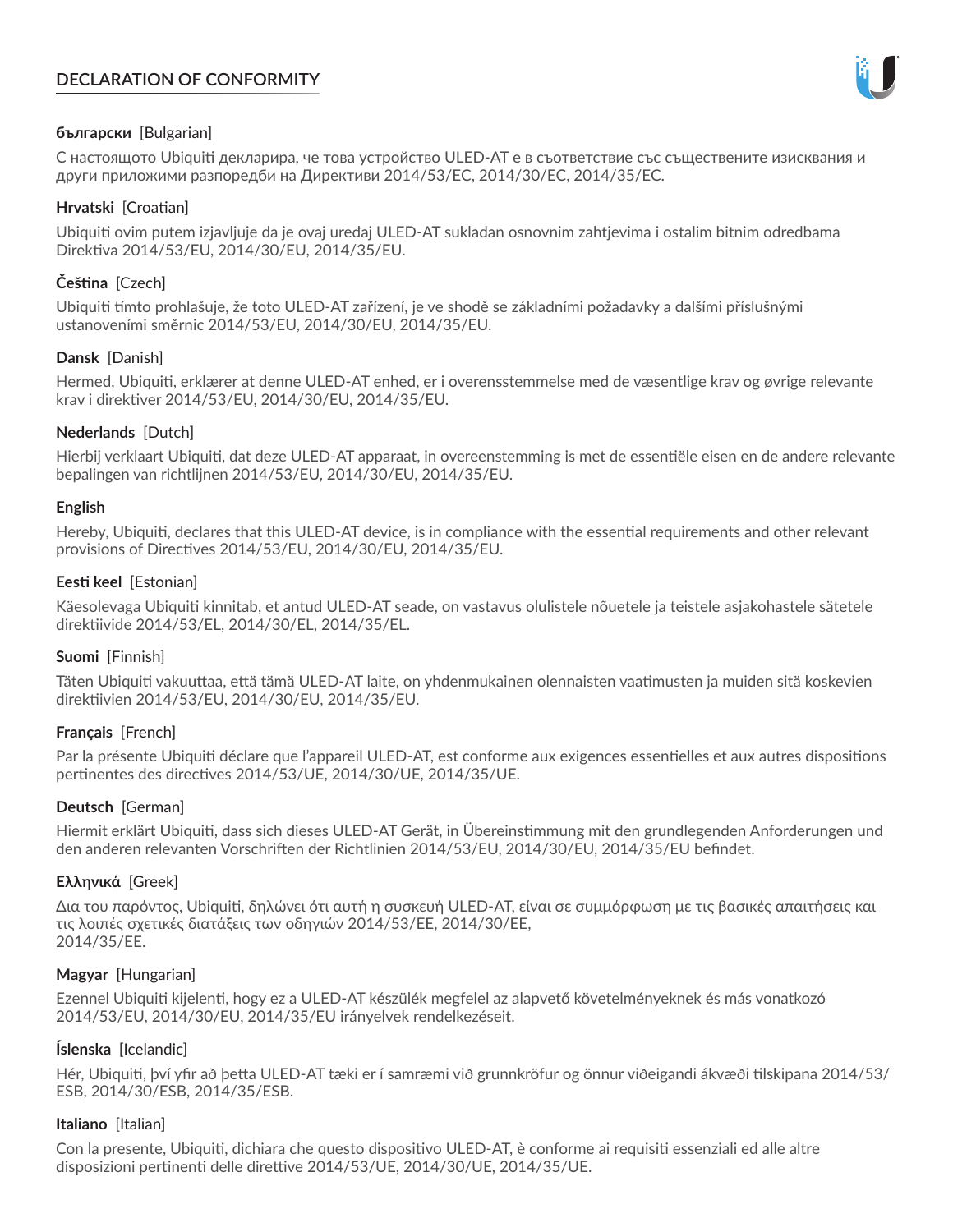# **DECLARATION OF CONFORMITY**



# **български** [Bulgarian]

С настоящото Ubiquiti декларира, че това устройство ULED-AT е в съответствие със съществените изисквания и други приложими разпоредби на Директиви 2014/53/EC, 2014/30/ЕС, 2014/35/ЕС.

## **Hrvatski** [Croatian]

Ubiquiti ovim putem izjavljuje da je ovaj uređaj ULED-AT sukladan osnovnim zahtjevima i ostalim bitnim odredbama Direktiva 2014/53/EU, 2014/30/EU, 2014/35/EU.

# **Čeština** [Czech]

Ubiquiti tímto prohlašuje, že toto ULED-AT zařízení, je ve shodě se základními požadavky a dalšími příslušnými ustanoveními směrnic 2014/53/EU, 2014/30/EU, 2014/35/EU.

# **Dansk** [Danish]

Hermed, Ubiquiti, erklærer at denne ULED-AT enhed, er i overensstemmelse med de væsentlige krav og øvrige relevante krav i direktiver 2014/53/EU, 2014/30/EU, 2014/35/EU.

# **Nederlands** [Dutch]

Hierbij verklaart Ubiquiti, dat deze ULED-AT apparaat, in overeenstemming is met de essentiële eisen en de andere relevante bepalingen van richtlijnen 2014/53/EU, 2014/30/EU, 2014/35/EU.

## **English**

Hereby, Ubiquiti, declares that this ULED-AT device, is in compliance with the essential requirements and other relevant provisions of Directives 2014/53/EU, 2014/30/EU, 2014/35/EU.

# **Eesti keel** [Estonian]

Käesolevaga Ubiquiti kinnitab, et antud ULED-AT seade, on vastavus olulistele nõuetele ja teistele asjakohastele sätetele direktiivide 2014/53/EL, 2014/30/EL, 2014/35/EL.

## **Suomi** [Finnish]

Täten Ubiquiti vakuuttaa, että tämä ULED-AT laite, on yhdenmukainen olennaisten vaatimusten ja muiden sitä koskevien direktiivien 2014/53/EU, 2014/30/EU, 2014/35/EU.

## **Français** [French]

Par la présente Ubiquiti déclare que l'appareil ULED-AT, est conforme aux exigences essentielles et aux autres dispositions pertinentes des directives 2014/53/UE, 2014/30/UE, 2014/35/UE.

## **Deutsch** [German]

Hiermit erklärt Ubiquiti, dass sich dieses ULED-AT Gerät, in Übereinstimmung mit den grundlegenden Anforderungen und den anderen relevanten Vorschriften der Richtlinien 2014/53/EU, 2014/30/EU, 2014/35/EU befindet.

## **Ελληνικά** [Greek]

Δια του παρόντος, Ubiquiti, δηλώνει ότι αυτή η συσκευή ULED-AT, είναι σε συμμόρφωση με τις βασικές απαιτήσεις και τις λοιπές σχετικές διατάξεις των οδηγιών 2014/53/EE, 2014/30/EE, 2014/35/EE.

## **Magyar** [Hungarian]

Ezennel Ubiquiti kijelenti, hogy ez a ULED-AT készülék megfelel az alapvető követelményeknek és más vonatkozó 2014/53/EU, 2014/30/EU, 2014/35/EU irányelvek rendelkezéseit.

## **Íslenska** [Icelandic]

Hér, Ubiquiti, því yfir að þetta ULED-AT tæki er í samræmi við grunnkröfur og önnur viðeigandi ákvæði tilskipana 2014/53/ ESB, 2014/30/ESB, 2014/35/ESB.

## **Italiano** [Italian]

Con la presente, Ubiquiti, dichiara che questo dispositivo ULED-AT, è conforme ai requisiti essenziali ed alle altre disposizioni pertinenti delle direttive 2014/53/UE, 2014/30/UE, 2014/35/UE.